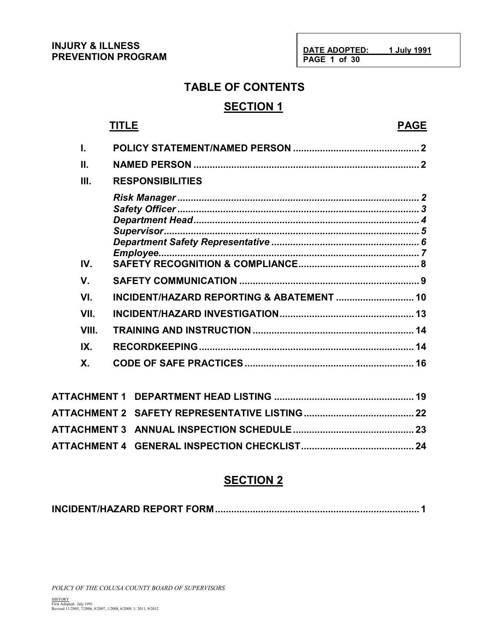**DATE ADOPTED: 1 July 1991 PAGE 1 of 30**

# **TABLE OF CONTENTS**

# **SECTION 1**

# **TITLE PAGE**

| ı.    |                                           |  |
|-------|-------------------------------------------|--|
| Ш.    |                                           |  |
| Ш.    | <b>RESPONSIBILITIES</b>                   |  |
|       |                                           |  |
| IV.   |                                           |  |
| V.    |                                           |  |
| VI.   | INCIDENT/HAZARD REPORTING & ABATEMENT  10 |  |
| VII.  |                                           |  |
| VIII. |                                           |  |
| IX.   |                                           |  |
| Χ.    |                                           |  |
|       |                                           |  |
|       |                                           |  |

## **SECTION 2**

|--|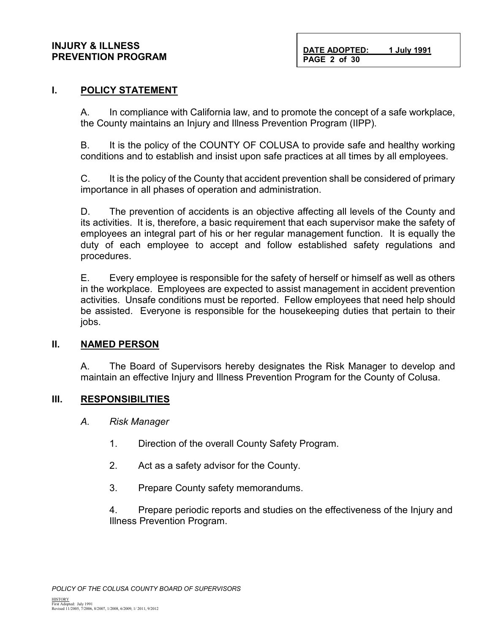#### **INJURY & ILLNESS PREVENTION PROGRAM**

**DATE ADOPTED: 1 July 1991 PAGE 2 of 30**

#### **I. POLICY STATEMENT**

A. In compliance with California law, and to promote the concept of a safe workplace, the County maintains an Injury and Illness Prevention Program (IIPP).

B. It is the policy of the COUNTY OF COLUSA to provide safe and healthy working conditions and to establish and insist upon safe practices at all times by all employees.

C. It is the policy of the County that accident prevention shall be considered of primary importance in all phases of operation and administration.

D. The prevention of accidents is an objective affecting all levels of the County and its activities. It is, therefore, a basic requirement that each supervisor make the safety of employees an integral part of his or her regular management function. It is equally the duty of each employee to accept and follow established safety regulations and procedures.

E. Every employee is responsible for the safety of herself or himself as well as others in the workplace. Employees are expected to assist management in accident prevention activities. Unsafe conditions must be reported. Fellow employees that need help should be assisted. Everyone is responsible for the housekeeping duties that pertain to their jobs.

#### **II. NAMED PERSON**

A. The Board of Supervisors hereby designates the Risk Manager to develop and maintain an effective Injury and Illness Prevention Program for the County of Colusa.

#### **III. RESPONSIBILITIES**

- *A. Risk Manager*
	- 1. Direction of the overall County Safety Program.
	- 2. Act as a safety advisor for the County.
	- 3. Prepare County safety memorandums.

4. Prepare periodic reports and studies on the effectiveness of the Injury and Illness Prevention Program.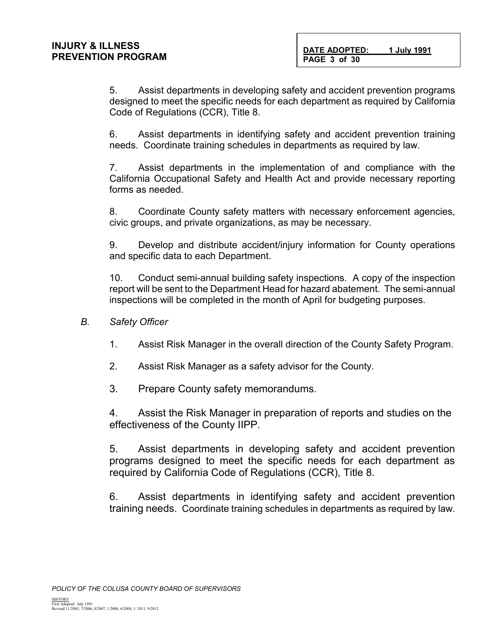5. Assist departments in developing safety and accident prevention programs designed to meet the specific needs for each department as required by California Code of Regulations (CCR), Title 8.

6. Assist departments in identifying safety and accident prevention training needs. Coordinate training schedules in departments as required by law.

7. Assist departments in the implementation of and compliance with the California Occupational Safety and Health Act and provide necessary reporting forms as needed.

8. Coordinate County safety matters with necessary enforcement agencies, civic groups, and private organizations, as may be necessary.

9. Develop and distribute accident/injury information for County operations and specific data to each Department.

10. Conduct semi-annual building safety inspections. A copy of the inspection report will be sent to the Department Head for hazard abatement. The semi-annual inspections will be completed in the month of April for budgeting purposes.

- *B. Safety Officer*
	- 1. Assist Risk Manager in the overall direction of the County Safety Program.
	- 2. Assist Risk Manager as a safety advisor for the County.
	- 3. Prepare County safety memorandums.

4. Assist the Risk Manager in preparation of reports and studies on the effectiveness of the County IIPP.

5. Assist departments in developing safety and accident prevention programs designed to meet the specific needs for each department as required by California Code of Regulations (CCR), Title 8.

6. Assist departments in identifying safety and accident prevention training needs. Coordinate training schedules in departments as required by law.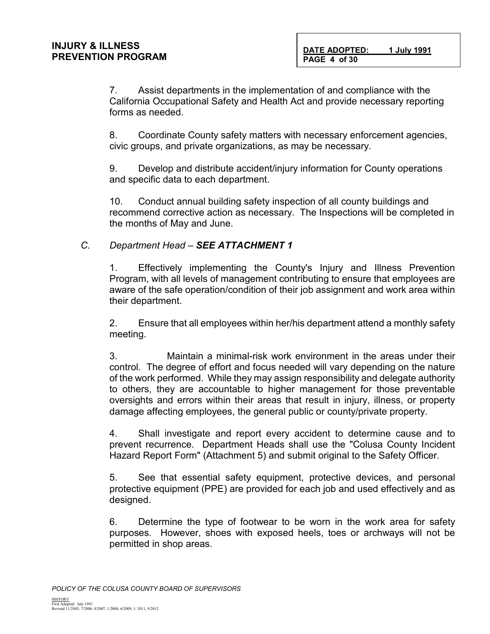7. Assist departments in the implementation of and compliance with the California Occupational Safety and Health Act and provide necessary reporting forms as needed.

8. Coordinate County safety matters with necessary enforcement agencies, civic groups, and private organizations, as may be necessary.

9. Develop and distribute accident/injury information for County operations and specific data to each department.

10. Conduct annual building safety inspection of all county buildings and recommend corrective action as necessary. The Inspections will be completed in the months of May and June.

### *C. Department Head – SEE ATTACHMENT 1*

1. Effectively implementing the County's Injury and Illness Prevention Program, with all levels of management contributing to ensure that employees are aware of the safe operation/condition of their job assignment and work area within their department.

2. Ensure that all employees within her/his department attend a monthly safety meeting.

3. Maintain a minimal-risk work environment in the areas under their control. The degree of effort and focus needed will vary depending on the nature of the work performed. While they may assign responsibility and delegate authority to others, they are accountable to higher management for those preventable oversights and errors within their areas that result in injury, illness, or property damage affecting employees, the general public or county/private property.

4. Shall investigate and report every accident to determine cause and to prevent recurrence. Department Heads shall use the "Colusa County Incident Hazard Report Form" (Attachment 5) and submit original to the Safety Officer.

5. See that essential safety equipment, protective devices, and personal protective equipment (PPE) are provided for each job and used effectively and as designed.

6. Determine the type of footwear to be worn in the work area for safety purposes. However, shoes with exposed heels, toes or archways will not be permitted in shop areas.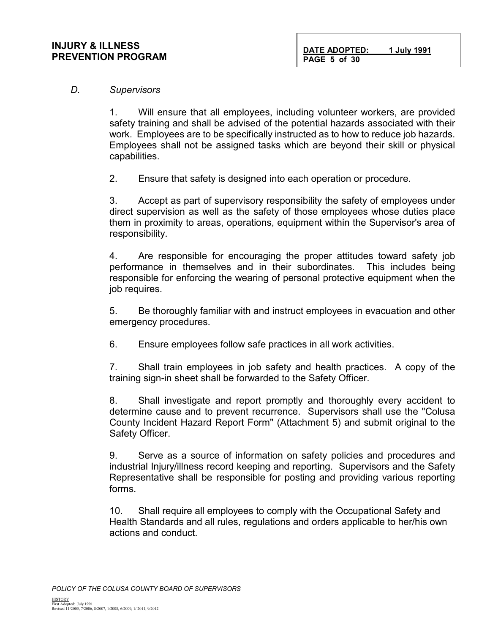#### **INJURY & ILLNESS PREVENTION PROGRAM**

**DATE ADOPTED: 1 July 1991 PAGE 5 of 30**

#### *D. Supervisors*

1. Will ensure that all employees, including volunteer workers, are provided safety training and shall be advised of the potential hazards associated with their work. Employees are to be specifically instructed as to how to reduce job hazards. Employees shall not be assigned tasks which are beyond their skill or physical capabilities.

2. Ensure that safety is designed into each operation or procedure.

3. Accept as part of supervisory responsibility the safety of employees under direct supervision as well as the safety of those employees whose duties place them in proximity to areas, operations, equipment within the Supervisor's area of responsibility.

4. Are responsible for encouraging the proper attitudes toward safety job performance in themselves and in their subordinates. This includes being responsible for enforcing the wearing of personal protective equipment when the job requires.

5. Be thoroughly familiar with and instruct employees in evacuation and other emergency procedures.

6. Ensure employees follow safe practices in all work activities.

7. Shall train employees in job safety and health practices. A copy of the training sign-in sheet shall be forwarded to the Safety Officer.

8. Shall investigate and report promptly and thoroughly every accident to determine cause and to prevent recurrence. Supervisors shall use the "Colusa County Incident Hazard Report Form" (Attachment 5) and submit original to the Safety Officer.

9. Serve as a source of information on safety policies and procedures and industrial Injury/illness record keeping and reporting. Supervisors and the Safety Representative shall be responsible for posting and providing various reporting forms.

10. Shall require all employees to comply with the Occupational Safety and Health Standards and all rules, regulations and orders applicable to her/his own actions and conduct.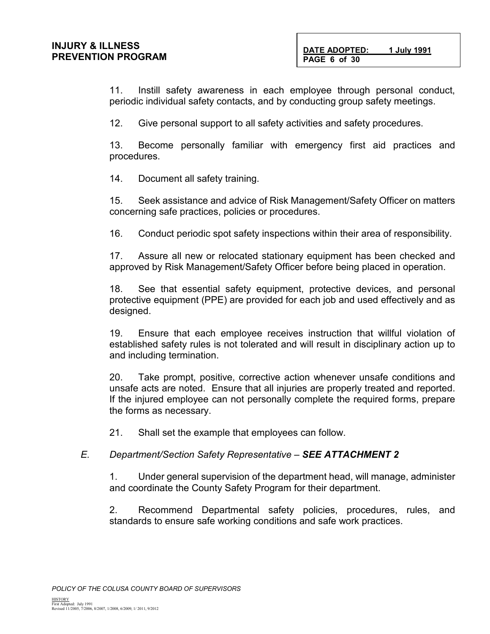11. Instill safety awareness in each employee through personal conduct, periodic individual safety contacts, and by conducting group safety meetings.

12. Give personal support to all safety activities and safety procedures.

13. Become personally familiar with emergency first aid practices and procedures.

14. Document all safety training.

15. Seek assistance and advice of Risk Management/Safety Officer on matters concerning safe practices, policies or procedures.

16. Conduct periodic spot safety inspections within their area of responsibility.

17. Assure all new or relocated stationary equipment has been checked and approved by Risk Management/Safety Officer before being placed in operation.

18. See that essential safety equipment, protective devices, and personal protective equipment (PPE) are provided for each job and used effectively and as designed.

19. Ensure that each employee receives instruction that willful violation of established safety rules is not tolerated and will result in disciplinary action up to and including termination.

20. Take prompt, positive, corrective action whenever unsafe conditions and unsafe acts are noted. Ensure that all injuries are properly treated and reported. If the injured employee can not personally complete the required forms, prepare the forms as necessary.

21. Shall set the example that employees can follow.

### *E. Department/Section Safety Representative – SEE ATTACHMENT 2*

1. Under general supervision of the department head, will manage, administer and coordinate the County Safety Program for their department.

2. Recommend Departmental safety policies, procedures, rules, and standards to ensure safe working conditions and safe work practices.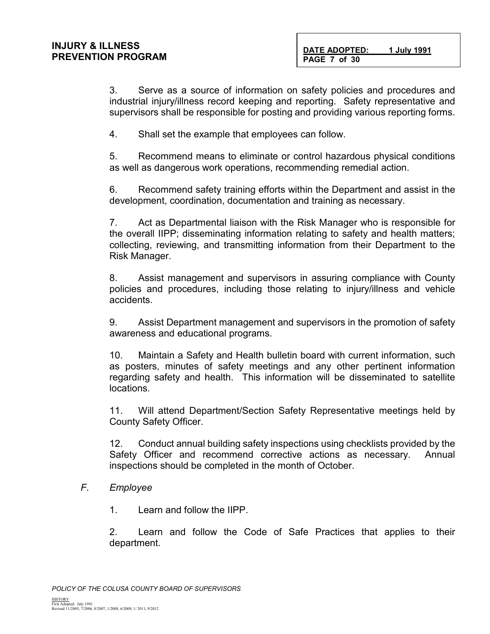**DATE ADOPTED: 1 July 1991 PAGE 7 of 30**

3. Serve as a source of information on safety policies and procedures and industrial injury/illness record keeping and reporting. Safety representative and supervisors shall be responsible for posting and providing various reporting forms.

4. Shall set the example that employees can follow.

5. Recommend means to eliminate or control hazardous physical conditions as well as dangerous work operations, recommending remedial action.

6. Recommend safety training efforts within the Department and assist in the development, coordination, documentation and training as necessary.

7. Act as Departmental liaison with the Risk Manager who is responsible for the overall IIPP; disseminating information relating to safety and health matters; collecting, reviewing, and transmitting information from their Department to the Risk Manager.

8. Assist management and supervisors in assuring compliance with County policies and procedures, including those relating to injury/illness and vehicle accidents.

9. Assist Department management and supervisors in the promotion of safety awareness and educational programs.

10. Maintain a Safety and Health bulletin board with current information, such as posters, minutes of safety meetings and any other pertinent information regarding safety and health. This information will be disseminated to satellite locations.

11. Will attend Department/Section Safety Representative meetings held by County Safety Officer.

12. Conduct annual building safety inspections using checklists provided by the Safety Officer and recommend corrective actions as necessary. Annual inspections should be completed in the month of October.

#### *F. Employee*

1. Learn and follow the IIPP.

2. Learn and follow the Code of Safe Practices that applies to their department.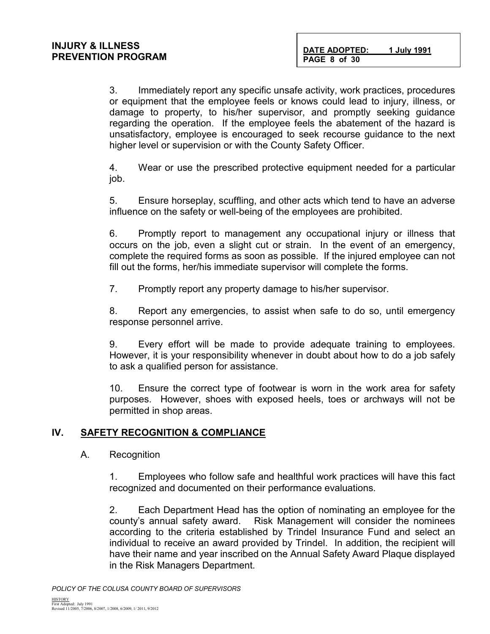3. Immediately report any specific unsafe activity, work practices, procedures or equipment that the employee feels or knows could lead to injury, illness, or damage to property, to his/her supervisor, and promptly seeking guidance regarding the operation. If the employee feels the abatement of the hazard is unsatisfactory, employee is encouraged to seek recourse guidance to the next higher level or supervision or with the County Safety Officer.

4. Wear or use the prescribed protective equipment needed for a particular job.

5. Ensure horseplay, scuffling, and other acts which tend to have an adverse influence on the safety or well-being of the employees are prohibited.

6. Promptly report to management any occupational injury or illness that occurs on the job, even a slight cut or strain. In the event of an emergency, complete the required forms as soon as possible. If the injured employee can not fill out the forms, her/his immediate supervisor will complete the forms.

7. Promptly report any property damage to his/her supervisor.

8. Report any emergencies, to assist when safe to do so, until emergency response personnel arrive.

9. Every effort will be made to provide adequate training to employees. However, it is your responsibility whenever in doubt about how to do a job safely to ask a qualified person for assistance.

10. Ensure the correct type of footwear is worn in the work area for safety purposes. However, shoes with exposed heels, toes or archways will not be permitted in shop areas.

### **IV. SAFETY RECOGNITION & COMPLIANCE**

A. Recognition

1. Employees who follow safe and healthful work practices will have this fact recognized and documented on their performance evaluations.

2. Each Department Head has the option of nominating an employee for the county's annual safety award. Risk Management will consider the nominees according to the criteria established by Trindel Insurance Fund and select an individual to receive an award provided by Trindel. In addition, the recipient will have their name and year inscribed on the Annual Safety Award Plaque displayed in the Risk Managers Department.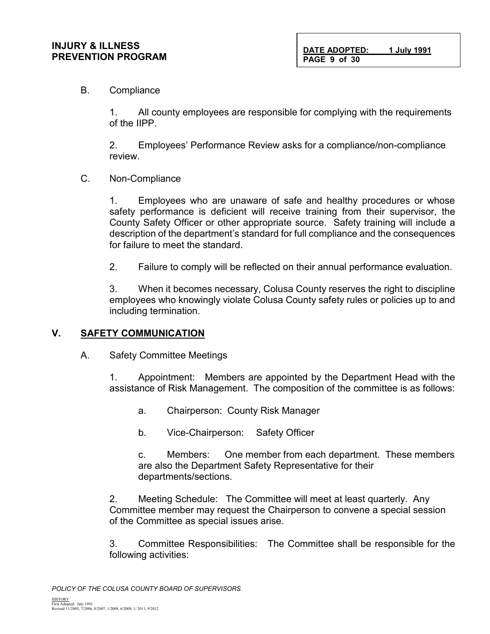**DATE ADOPTED: 1 July 1991 PAGE 9 of 30**

#### B. Compliance

1. All county employees are responsible for complying with the requirements of the IIPP.

2. Employees' Performance Review asks for a compliance/non-compliance review.

#### C. Non-Compliance

1. Employees who are unaware of safe and healthy procedures or whose safety performance is deficient will receive training from their supervisor, the County Safety Officer or other appropriate source. Safety training will include a description of the department's standard for full compliance and the consequences for failure to meet the standard.

2. Failure to comply will be reflected on their annual performance evaluation.

3. When it becomes necessary, Colusa County reserves the right to discipline employees who knowingly violate Colusa County safety rules or policies up to and including termination.

#### **V. SAFETY COMMUNICATION**

A. Safety Committee Meetings

1. Appointment: Members are appointed by the Department Head with the assistance of Risk Management. The composition of the committee is as follows:

- a. Chairperson: County Risk Manager
- b. Vice-Chairperson: Safety Officer

c. Members: One member from each department. These members are also the Department Safety Representative for their departments/sections.

2. Meeting Schedule: The Committee will meet at least quarterly. Any Committee member may request the Chairperson to convene a special session of the Committee as special issues arise.

3. Committee Responsibilities: The Committee shall be responsible for the following activities: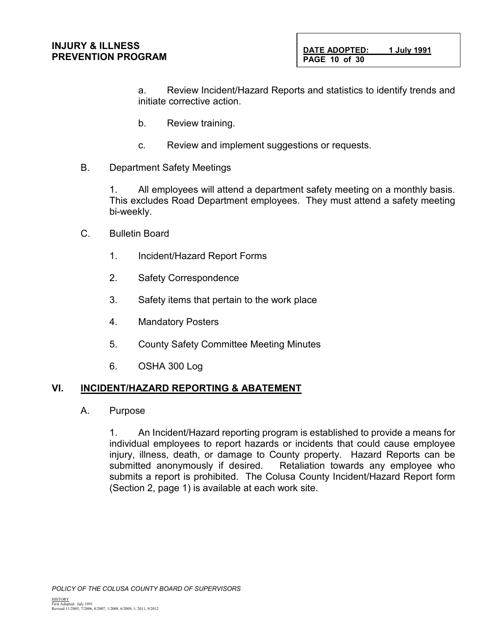a. Review Incident/Hazard Reports and statistics to identify trends and initiate corrective action.

- b. Review training.
- c. Review and implement suggestions or requests.
- B. Department Safety Meetings

1. All employees will attend a department safety meeting on a monthly basis. This excludes Road Department employees. They must attend a safety meeting bi-weekly.

- C. Bulletin Board
	- 1. Incident/Hazard Report Forms
	- 2. Safety Correspondence
	- 3. Safety items that pertain to the work place
	- 4. Mandatory Posters
	- 5. County Safety Committee Meeting Minutes
	- 6. OSHA 300 Log

### **VI. INCIDENT/HAZARD REPORTING & ABATEMENT**

A. Purpose

1. An Incident/Hazard reporting program is established to provide a means for individual employees to report hazards or incidents that could cause employee injury, illness, death, or damage to County property. Hazard Reports can be submitted anonymously if desired. Retaliation towards any employee who submits a report is prohibited. The Colusa County Incident/Hazard Report form (Section 2, page 1) is available at each work site.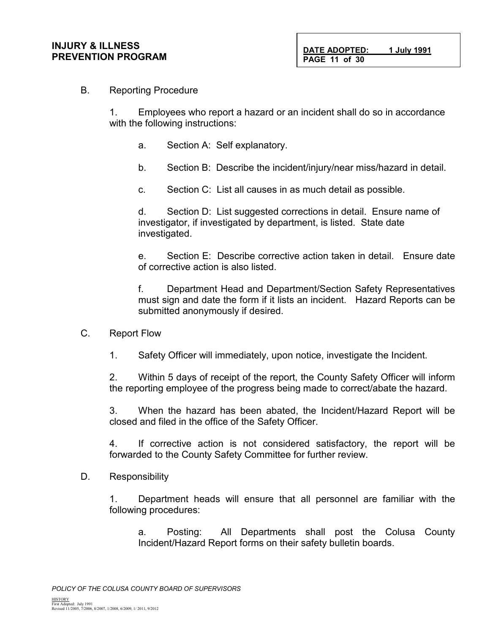#### B. Reporting Procedure

1. Employees who report a hazard or an incident shall do so in accordance with the following instructions:

- a. Section A: Self explanatory.
- b. Section B: Describe the incident/injury/near miss/hazard in detail.
- c. Section C: List all causes in as much detail as possible.

d. Section D: List suggested corrections in detail. Ensure name of investigator, if investigated by department, is listed. State date investigated.

e. Section E: Describe corrective action taken in detail. Ensure date of corrective action is also listed.

f. Department Head and Department/Section Safety Representatives must sign and date the form if it lists an incident. Hazard Reports can be submitted anonymously if desired.

- C. Report Flow
	- 1. Safety Officer will immediately, upon notice, investigate the Incident.

2. Within 5 days of receipt of the report, the County Safety Officer will inform the reporting employee of the progress being made to correct/abate the hazard.

3. When the hazard has been abated, the Incident/Hazard Report will be closed and filed in the office of the Safety Officer.

4. If corrective action is not considered satisfactory, the report will be forwarded to the County Safety Committee for further review.

D. Responsibility

1. Department heads will ensure that all personnel are familiar with the following procedures:

a. Posting: All Departments shall post the Colusa County Incident/Hazard Report forms on their safety bulletin boards.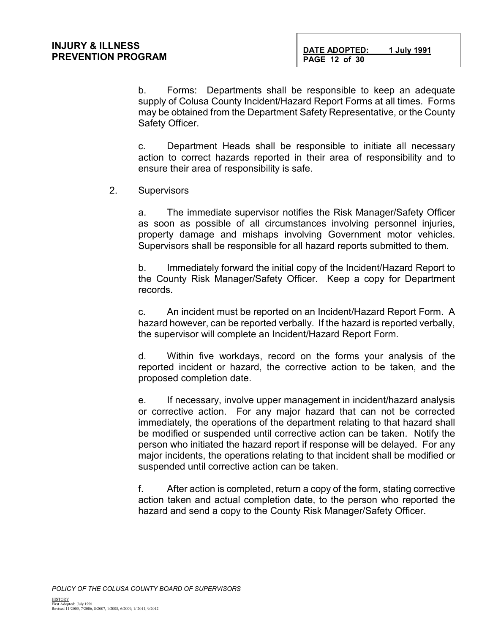b. Forms: Departments shall be responsible to keep an adequate supply of Colusa County Incident/Hazard Report Forms at all times. Forms may be obtained from the Department Safety Representative, or the County Safety Officer.

c. Department Heads shall be responsible to initiate all necessary action to correct hazards reported in their area of responsibility and to ensure their area of responsibility is safe.

2. Supervisors

a. The immediate supervisor notifies the Risk Manager/Safety Officer as soon as possible of all circumstances involving personnel injuries, property damage and mishaps involving Government motor vehicles. Supervisors shall be responsible for all hazard reports submitted to them.

b. Immediately forward the initial copy of the Incident/Hazard Report to the County Risk Manager/Safety Officer. Keep a copy for Department records.

c. An incident must be reported on an Incident/Hazard Report Form. A hazard however, can be reported verbally. If the hazard is reported verbally, the supervisor will complete an Incident/Hazard Report Form.

d. Within five workdays, record on the forms your analysis of the reported incident or hazard, the corrective action to be taken, and the proposed completion date.

e. If necessary, involve upper management in incident/hazard analysis or corrective action. For any major hazard that can not be corrected immediately, the operations of the department relating to that hazard shall be modified or suspended until corrective action can be taken. Notify the person who initiated the hazard report if response will be delayed. For any major incidents, the operations relating to that incident shall be modified or suspended until corrective action can be taken.

f. After action is completed, return a copy of the form, stating corrective action taken and actual completion date, to the person who reported the hazard and send a copy to the County Risk Manager/Safety Officer.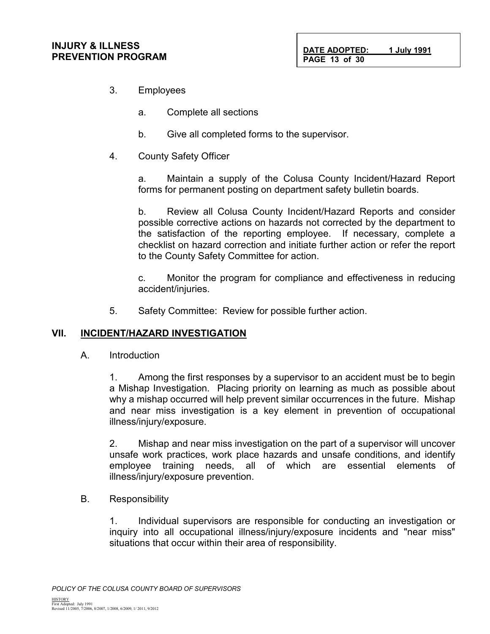3. Employees

**INJURY & ILLNESS**

**PREVENTION PROGRAM**

- a. Complete all sections
- b. Give all completed forms to the supervisor.
- 4. County Safety Officer

a. Maintain a supply of the Colusa County Incident/Hazard Report forms for permanent posting on department safety bulletin boards.

b. Review all Colusa County Incident/Hazard Reports and consider possible corrective actions on hazards not corrected by the department to the satisfaction of the reporting employee. If necessary, complete a checklist on hazard correction and initiate further action or refer the report to the County Safety Committee for action.

c. Monitor the program for compliance and effectiveness in reducing accident/injuries.

5. Safety Committee: Review for possible further action.

#### **VII. INCIDENT/HAZARD INVESTIGATION**

A. Introduction

1. Among the first responses by a supervisor to an accident must be to begin a Mishap Investigation. Placing priority on learning as much as possible about why a mishap occurred will help prevent similar occurrences in the future. Mishap and near miss investigation is a key element in prevention of occupational illness/injury/exposure.

2. Mishap and near miss investigation on the part of a supervisor will uncover unsafe work practices, work place hazards and unsafe conditions, and identify employee training needs, all of which are essential elements of illness/injury/exposure prevention.

B. Responsibility

1. Individual supervisors are responsible for conducting an investigation or inquiry into all occupational illness/injury/exposure incidents and "near miss" situations that occur within their area of responsibility.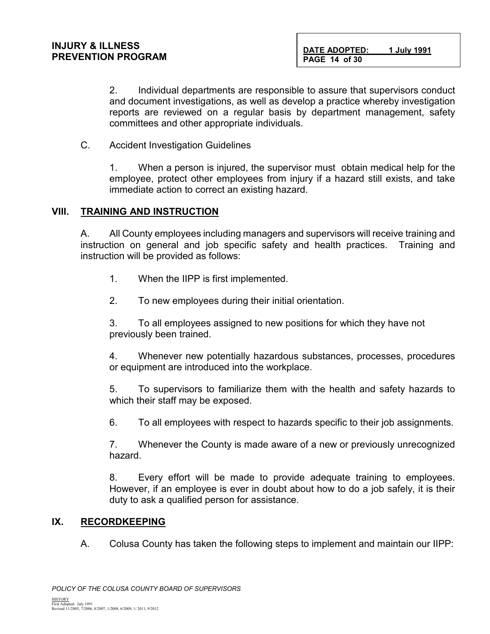2. Individual departments are responsible to assure that supervisors conduct and document investigations, as well as develop a practice whereby investigation reports are reviewed on a regular basis by department management, safety committees and other appropriate individuals.

C. Accident Investigation Guidelines

1. When a person is injured, the supervisor must obtain medical help for the employee, protect other employees from injury if a hazard still exists, and take immediate action to correct an existing hazard.

#### **VIII. TRAINING AND INSTRUCTION**

A. All County employees including managers and supervisors will receive training and instruction on general and job specific safety and health practices. Training and instruction will be provided as follows:

- 1. When the IIPP is first implemented.
- 2. To new employees during their initial orientation.

3. To all employees assigned to new positions for which they have not previously been trained.

4. Whenever new potentially hazardous substances, processes, procedures or equipment are introduced into the workplace.

5. To supervisors to familiarize them with the health and safety hazards to which their staff may be exposed.

6. To all employees with respect to hazards specific to their job assignments.

7. Whenever the County is made aware of a new or previously unrecognized hazard.

8. Every effort will be made to provide adequate training to employees. However, if an employee is ever in doubt about how to do a job safely, it is their duty to ask a qualified person for assistance.

#### **IX. RECORDKEEPING**

A. Colusa County has taken the following steps to implement and maintain our IIPP: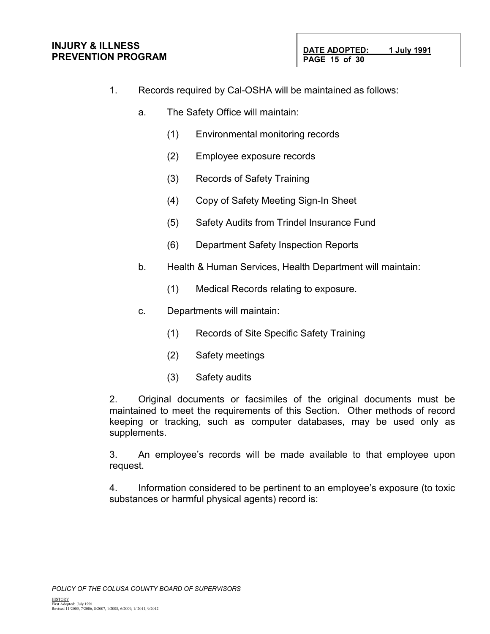#### **INJURY & ILLNESS PREVENTION PROGRAM**

- 1. Records required by Cal-OSHA will be maintained as follows:
	- a. The Safety Office will maintain:
		- (1) Environmental monitoring records
		- (2) Employee exposure records
		- (3) Records of Safety Training
		- (4) Copy of Safety Meeting Sign-In Sheet
		- (5) Safety Audits from Trindel Insurance Fund
		- (6) Department Safety Inspection Reports
	- b. Health & Human Services, Health Department will maintain:
		- (1) Medical Records relating to exposure.
	- c. Departments will maintain:
		- (1) Records of Site Specific Safety Training
		- (2) Safety meetings
		- (3) Safety audits

2. Original documents or facsimiles of the original documents must be maintained to meet the requirements of this Section. Other methods of record keeping or tracking, such as computer databases, may be used only as supplements.

3. An employee's records will be made available to that employee upon request.

4. Information considered to be pertinent to an employee's exposure (to toxic substances or harmful physical agents) record is: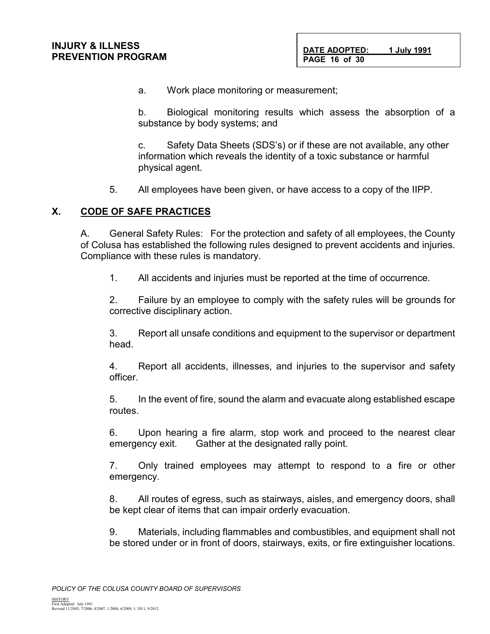a. Work place monitoring or measurement;

b. Biological monitoring results which assess the absorption of a substance by body systems; and

c. Safety Data Sheets (SDS's) or if these are not available, any other information which reveals the identity of a toxic substance or harmful physical agent.

5. All employees have been given, or have access to a copy of the IIPP.

### **X. CODE OF SAFE PRACTICES**

A. General Safety Rules: For the protection and safety of all employees, the County of Colusa has established the following rules designed to prevent accidents and injuries. Compliance with these rules is mandatory.

1. All accidents and injuries must be reported at the time of occurrence.

2. Failure by an employee to comply with the safety rules will be grounds for corrective disciplinary action.

3. Report all unsafe conditions and equipment to the supervisor or department head.

4. Report all accidents, illnesses, and injuries to the supervisor and safety officer.

5. In the event of fire, sound the alarm and evacuate along established escape routes.

6. Upon hearing a fire alarm, stop work and proceed to the nearest clear emergency exit. Gather at the designated rally point.

7. Only trained employees may attempt to respond to a fire or other emergency.

8. All routes of egress, such as stairways, aisles, and emergency doors, shall be kept clear of items that can impair orderly evacuation.

9. Materials, including flammables and combustibles, and equipment shall not be stored under or in front of doors, stairways, exits, or fire extinguisher locations.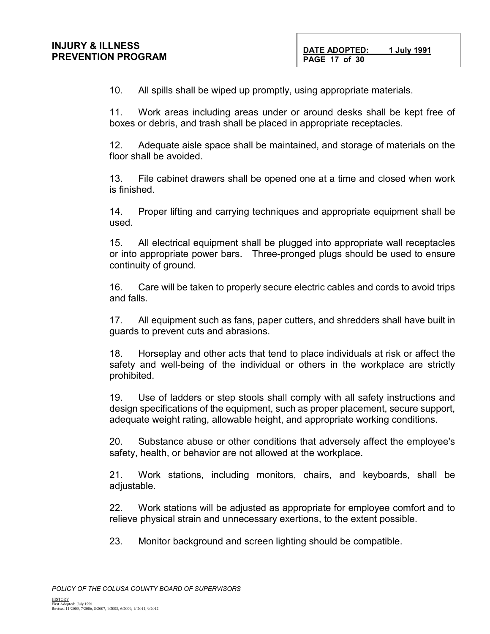10. All spills shall be wiped up promptly, using appropriate materials.

11. Work areas including areas under or around desks shall be kept free of boxes or debris, and trash shall be placed in appropriate receptacles.

12. Adequate aisle space shall be maintained, and storage of materials on the floor shall be avoided.

13. File cabinet drawers shall be opened one at a time and closed when work is finished.

14. Proper lifting and carrying techniques and appropriate equipment shall be used.

15. All electrical equipment shall be plugged into appropriate wall receptacles or into appropriate power bars. Three-pronged plugs should be used to ensure continuity of ground.

16. Care will be taken to properly secure electric cables and cords to avoid trips and falls.

17. All equipment such as fans, paper cutters, and shredders shall have built in guards to prevent cuts and abrasions.

18. Horseplay and other acts that tend to place individuals at risk or affect the safety and well-being of the individual or others in the workplace are strictly prohibited.

19. Use of ladders or step stools shall comply with all safety instructions and design specifications of the equipment, such as proper placement, secure support, adequate weight rating, allowable height, and appropriate working conditions.

20. Substance abuse or other conditions that adversely affect the employee's safety, health, or behavior are not allowed at the workplace.

21. Work stations, including monitors, chairs, and keyboards, shall be adjustable.

22. Work stations will be adjusted as appropriate for employee comfort and to relieve physical strain and unnecessary exertions, to the extent possible.

23. Monitor background and screen lighting should be compatible.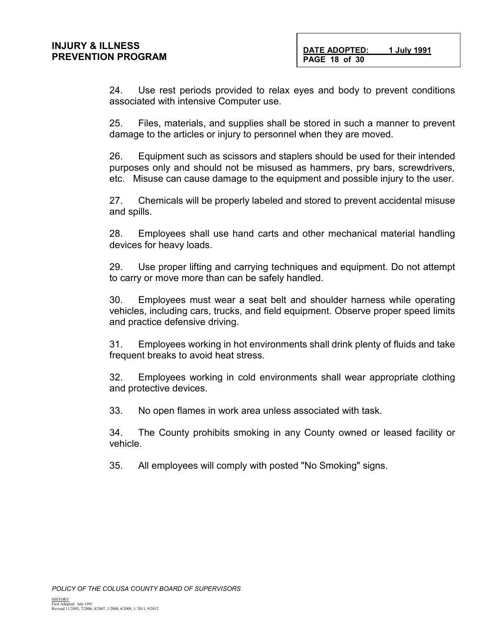24. Use rest periods provided to relax eyes and body to prevent conditions associated with intensive Computer use.

25. Files, materials, and supplies shall be stored in such a manner to prevent damage to the articles or injury to personnel when they are moved.

26. Equipment such as scissors and staplers should be used for their intended purposes only and should not be misused as hammers, pry bars, screwdrivers, etc. Misuse can cause damage to the equipment and possible injury to the user.

27. Chemicals will be properly labeled and stored to prevent accidental misuse and spills.

28. Employees shall use hand carts and other mechanical material handling devices for heavy loads.

29. Use proper lifting and carrying techniques and equipment. Do not attempt to carry or move more than can be safely handled.

30. Employees must wear a seat belt and shoulder harness while operating vehicles, including cars, trucks, and field equipment. Observe proper speed limits and practice defensive driving.

31. Employees working in hot environments shall drink plenty of fluids and take frequent breaks to avoid heat stress.

32. Employees working in cold environments shall wear appropriate clothing and protective devices.

33. No open flames in work area unless associated with task.

34. The County prohibits smoking in any County owned or leased facility or vehicle.

35. All employees will comply with posted "No Smoking" signs.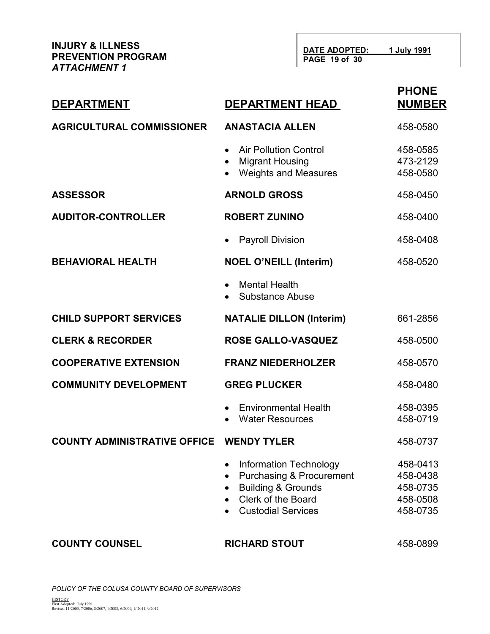**DATE ADOPTED: 1 July 1991 PAGE 19 of 30**

| <b>DEPARTMENT</b>                   | <b>DEPARTMENT HEAD</b>                                                                                                                                          | <b>PHONE</b><br><b>NUMBER</b>                            |
|-------------------------------------|-----------------------------------------------------------------------------------------------------------------------------------------------------------------|----------------------------------------------------------|
| <b>AGRICULTURAL COMMISSIONER</b>    | <b>ANASTACIA ALLEN</b>                                                                                                                                          | 458-0580                                                 |
|                                     | <b>Air Pollution Control</b><br>$\bullet$<br><b>Migrant Housing</b><br><b>Weights and Measures</b>                                                              | 458-0585<br>473-2129<br>458-0580                         |
| <b>ASSESSOR</b>                     | <b>ARNOLD GROSS</b>                                                                                                                                             | 458-0450                                                 |
| <b>AUDITOR-CONTROLLER</b>           | <b>ROBERT ZUNINO</b>                                                                                                                                            | 458-0400                                                 |
|                                     | <b>Payroll Division</b>                                                                                                                                         | 458-0408                                                 |
| <b>BEHAVIORAL HEALTH</b>            | <b>NOEL O'NEILL (Interim)</b>                                                                                                                                   | 458-0520                                                 |
|                                     | <b>Mental Health</b><br><b>Substance Abuse</b>                                                                                                                  |                                                          |
| <b>CHILD SUPPORT SERVICES</b>       | <b>NATALIE DILLON (Interim)</b>                                                                                                                                 | 661-2856                                                 |
| <b>CLERK &amp; RECORDER</b>         | <b>ROSE GALLO-VASQUEZ</b>                                                                                                                                       | 458-0500                                                 |
| <b>COOPERATIVE EXTENSION</b>        | <b>FRANZ NIEDERHOLZER</b>                                                                                                                                       | 458-0570                                                 |
| <b>COMMUNITY DEVELOPMENT</b>        | <b>GREG PLUCKER</b>                                                                                                                                             | 458-0480                                                 |
|                                     | <b>Environmental Health</b><br><b>Water Resources</b>                                                                                                           | 458-0395<br>458-0719                                     |
| <b>COUNTY ADMINISTRATIVE OFFICE</b> | <b>WENDY TYLER</b>                                                                                                                                              | 458-0737                                                 |
|                                     | <b>Information Technology</b><br><b>Purchasing &amp; Procurement</b><br><b>Building &amp; Grounds</b><br><b>Clerk of the Board</b><br><b>Custodial Services</b> | 458-0413<br>458-0438<br>458-0735<br>458-0508<br>458-0735 |
| <b>COUNTY COUNSEL</b>               | <b>RICHARD STOUT</b>                                                                                                                                            | 458-0899                                                 |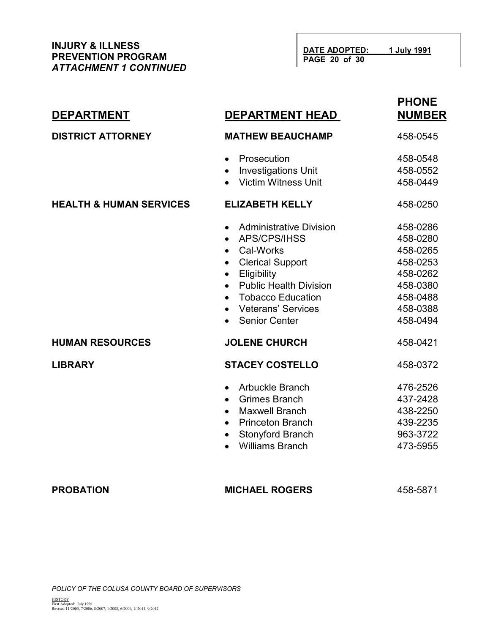**INJURY & ILLNESS PREVENTION PROGRAM** *ATTACHMENT 1 CONTINUED*

| <b>DEPARTMENT</b>                  | <b>DEPARTMENT HEAD</b>                                                                                                                                                                                                                                                                                | <b>PHONE</b><br><b>NUMBER</b>                                                                            |
|------------------------------------|-------------------------------------------------------------------------------------------------------------------------------------------------------------------------------------------------------------------------------------------------------------------------------------------------------|----------------------------------------------------------------------------------------------------------|
| <b>DISTRICT ATTORNEY</b>           | <b>MATHEW BEAUCHAMP</b>                                                                                                                                                                                                                                                                               | 458-0545                                                                                                 |
|                                    | Prosecution<br>$\bullet$<br><b>Investigations Unit</b><br>$\bullet$<br><b>Victim Witness Unit</b>                                                                                                                                                                                                     | 458-0548<br>458-0552<br>458-0449                                                                         |
| <b>HEALTH &amp; HUMAN SERVICES</b> | <b>ELIZABETH KELLY</b>                                                                                                                                                                                                                                                                                | 458-0250                                                                                                 |
|                                    | <b>Administrative Division</b><br>$\bullet$<br>APS/CPS/IHSS<br>$\bullet$<br>Cal-Works<br>$\bullet$<br><b>Clerical Support</b><br>$\bullet$<br>Eligibility<br><b>Public Health Division</b><br>$\bullet$<br><b>Tobacco Education</b><br>$\bullet$<br><b>Veterans' Services</b><br><b>Senior Center</b> | 458-0286<br>458-0280<br>458-0265<br>458-0253<br>458-0262<br>458-0380<br>458-0488<br>458-0388<br>458-0494 |
| <b>HUMAN RESOURCES</b>             | <b>JOLENE CHURCH</b>                                                                                                                                                                                                                                                                                  | 458-0421                                                                                                 |
| <b>LIBRARY</b>                     | <b>STACEY COSTELLO</b>                                                                                                                                                                                                                                                                                | 458-0372                                                                                                 |
|                                    | Arbuckle Branch<br>$\bullet$<br><b>Grimes Branch</b><br><b>Maxwell Branch</b><br>$\bullet$<br><b>Princeton Branch</b><br>$\bullet$<br><b>Stonyford Branch</b><br><b>Williams Branch</b>                                                                                                               | 476-2526<br>437-2428<br>438-2250<br>439-2235<br>963-3722<br>473-5955                                     |

**PROBATION MICHAEL ROGERS** 458-5871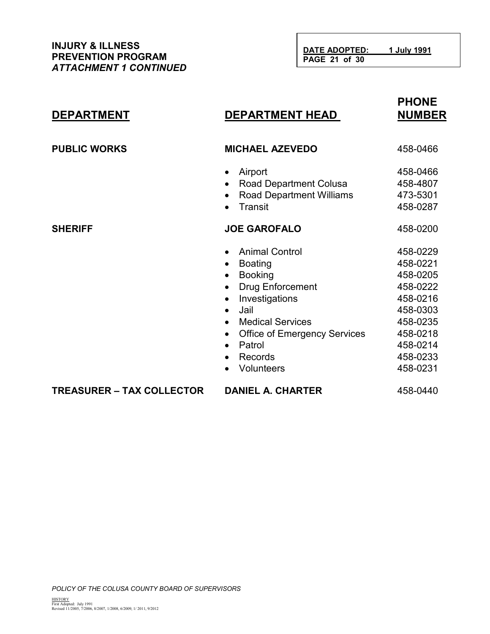# **PHONE DEPARTMENT DEPARTMENT HEAD**

| <b>PUBLIC WORKS</b>              | <b>MICHAEL AZEVEDO</b>                                                                                                                                                                                                                                                                                                      | 458-0466                                                                                                                         |
|----------------------------------|-----------------------------------------------------------------------------------------------------------------------------------------------------------------------------------------------------------------------------------------------------------------------------------------------------------------------------|----------------------------------------------------------------------------------------------------------------------------------|
|                                  | Airport<br>$\bullet$<br><b>Road Department Colusa</b><br>$\bullet$<br><b>Road Department Williams</b><br>$\bullet$<br>Transit                                                                                                                                                                                               | 458-0466<br>458-4807<br>473-5301<br>458-0287                                                                                     |
| <b>SHERIFF</b>                   | <b>JOE GAROFALO</b>                                                                                                                                                                                                                                                                                                         | 458-0200                                                                                                                         |
|                                  | <b>Animal Control</b><br><b>Boating</b><br>$\bullet$<br><b>Booking</b><br><b>Drug Enforcement</b><br>$\bullet$<br>Investigations<br>$\bullet$<br>Jail<br>$\bullet$<br><b>Medical Services</b><br>$\bullet$<br><b>Office of Emergency Services</b><br>$\bullet$<br>Patrol<br>$\bullet$<br>Records<br>$\bullet$<br>Volunteers | 458-0229<br>458-0221<br>458-0205<br>458-0222<br>458-0216<br>458-0303<br>458-0235<br>458-0218<br>458-0214<br>458-0233<br>458-0231 |
| <b>TREASURER – TAX COLLECTOR</b> | <b>DANIEL A. CHARTER</b>                                                                                                                                                                                                                                                                                                    | 458-0440                                                                                                                         |
|                                  |                                                                                                                                                                                                                                                                                                                             |                                                                                                                                  |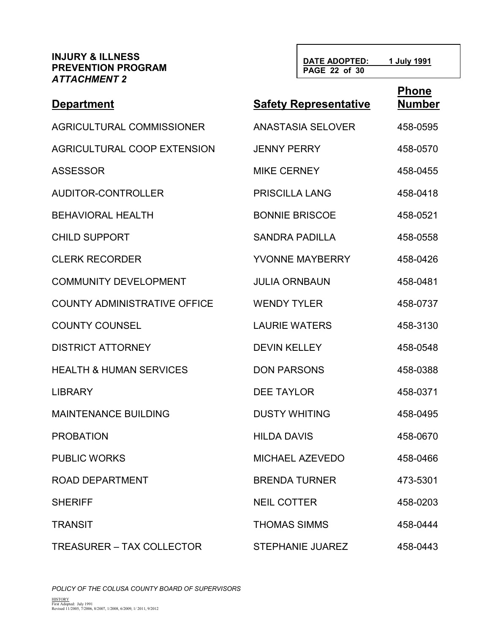**Phone DATE ADOPTED: 1 July 1991 PAGE 22 of 30**

| <b>Department</b>                   | <b>Safety Representative</b> | <b>LINIIA</b><br><b>Number</b> |
|-------------------------------------|------------------------------|--------------------------------|
| AGRICULTURAL COMMISSIONER           | <b>ANASTASIA SELOVER</b>     | 458-0595                       |
| AGRICULTURAL COOP EXTENSION         | <b>JENNY PERRY</b>           | 458-0570                       |
| <b>ASSESSOR</b>                     | <b>MIKE CERNEY</b>           | 458-0455                       |
| AUDITOR-CONTROLLER                  | <b>PRISCILLA LANG</b>        | 458-0418                       |
| <b>BEHAVIORAL HEALTH</b>            | <b>BONNIE BRISCOE</b>        | 458-0521                       |
| <b>CHILD SUPPORT</b>                | <b>SANDRA PADILLA</b>        | 458-0558                       |
| <b>CLERK RECORDER</b>               | YVONNE MAYBERRY              | 458-0426                       |
| <b>COMMUNITY DEVELOPMENT</b>        | <b>JULIA ORNBAUN</b>         | 458-0481                       |
| <b>COUNTY ADMINISTRATIVE OFFICE</b> | <b>WENDY TYLER</b>           | 458-0737                       |
| <b>COUNTY COUNSEL</b>               | <b>LAURIE WATERS</b>         | 458-3130                       |
| <b>DISTRICT ATTORNEY</b>            | <b>DEVIN KELLEY</b>          | 458-0548                       |
| <b>HEALTH &amp; HUMAN SERVICES</b>  | <b>DON PARSONS</b>           | 458-0388                       |
| <b>LIBRARY</b>                      | <b>DEE TAYLOR</b>            | 458-0371                       |
| <b>MAINTENANCE BUILDING</b>         | <b>DUSTY WHITING</b>         | 458-0495                       |
| <b>PROBATION</b>                    | <b>HILDA DAVIS</b>           | 458-0670                       |
| <b>PUBLIC WORKS</b>                 | <b>MICHAEL AZEVEDO</b>       | 458-0466                       |
| ROAD DEPARTMENT                     | <b>BRENDA TURNER</b>         | 473-5301                       |
| <b>SHERIFF</b>                      | <b>NEIL COTTER</b>           | 458-0203                       |
| <b>TRANSIT</b>                      | <b>THOMAS SIMMS</b>          | 458-0444                       |
| <b>TREASURER – TAX COLLECTOR</b>    | <b>STEPHANIE JUAREZ</b>      | 458-0443                       |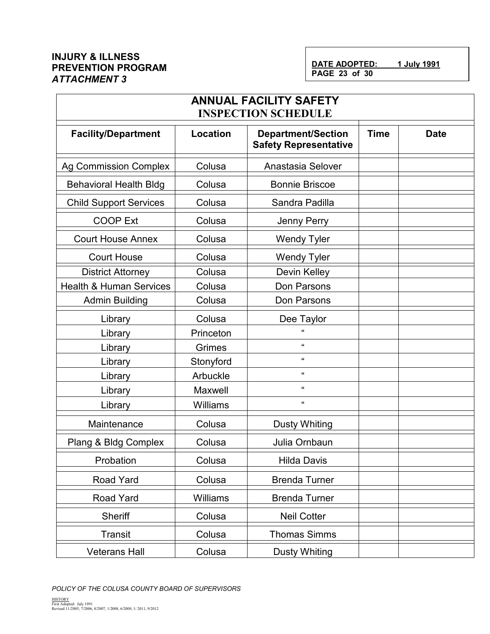j.

| <b>ANNUAL FACILITY SAFETY</b><br><b>INSPECTION SCHEDULE</b> |                 |                                                           |             |             |
|-------------------------------------------------------------|-----------------|-----------------------------------------------------------|-------------|-------------|
| <b>Facility/Department</b>                                  | <b>Location</b> | <b>Department/Section</b><br><b>Safety Representative</b> | <b>Time</b> | <b>Date</b> |
| <b>Ag Commission Complex</b>                                | Colusa          | Anastasia Selover                                         |             |             |
| <b>Behavioral Health Bldg</b>                               | Colusa          | <b>Bonnie Briscoe</b>                                     |             |             |
| <b>Child Support Services</b>                               | Colusa          | Sandra Padilla                                            |             |             |
| <b>COOP Ext</b>                                             | Colusa          | Jenny Perry                                               |             |             |
| <b>Court House Annex</b>                                    | Colusa          | <b>Wendy Tyler</b>                                        |             |             |
| <b>Court House</b>                                          | Colusa          | <b>Wendy Tyler</b>                                        |             |             |
| <b>District Attorney</b>                                    | Colusa          | Devin Kelley                                              |             |             |
| <b>Health &amp; Human Services</b>                          | Colusa          | Don Parsons                                               |             |             |
| <b>Admin Building</b>                                       | Colusa          | Don Parsons                                               |             |             |
| Library                                                     | Colusa          | Dee Taylor                                                |             |             |
| Library                                                     | Princeton       | $\mathbf{u}$                                              |             |             |
| Library                                                     | Grimes          | $\mathbf{G}$                                              |             |             |
| Library                                                     | Stonyford       | $\mathbf{G}$                                              |             |             |
| Library                                                     | Arbuckle        | $\pmb{\mathfrak{u}}$                                      |             |             |
| Library                                                     | Maxwell         | $\pmb{\mathfrak{u}}$                                      |             |             |
| Library                                                     | Williams        | $\mathbf{G}$                                              |             |             |
| Maintenance                                                 | Colusa          | <b>Dusty Whiting</b>                                      |             |             |
| Plang & Bldg Complex                                        | Colusa          | Julia Ornbaun                                             |             |             |
| Probation                                                   | Colusa          | <b>Hilda Davis</b>                                        |             |             |
| Road Yard                                                   | Colusa          | <b>Brenda Turner</b>                                      |             |             |
| Road Yard                                                   | Williams        | <b>Brenda Turner</b>                                      |             |             |
| Sheriff                                                     | Colusa          | <b>Neil Cotter</b>                                        |             |             |
| Transit                                                     | Colusa          | <b>Thomas Simms</b>                                       |             |             |
| <b>Veterans Hall</b>                                        | Colusa          | <b>Dusty Whiting</b>                                      |             |             |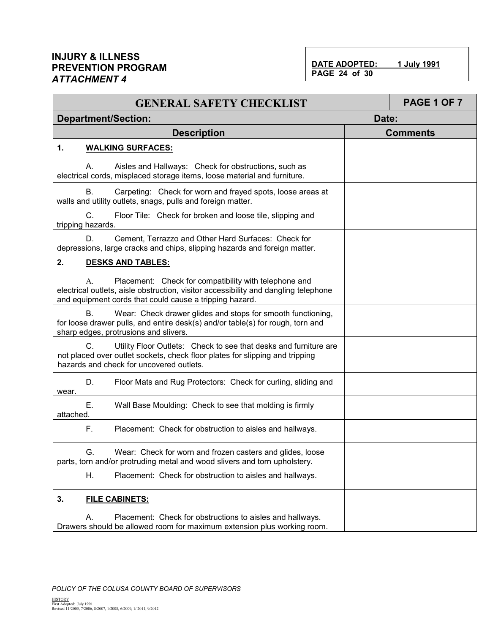DATE ADOPTED: 1 July 1991 **PAGE 24 of 30**

| <b>GENERAL SAFETY CHECKLIST</b>                                                                                                                                                                               | <b>PAGE 1 OF 7</b> |
|---------------------------------------------------------------------------------------------------------------------------------------------------------------------------------------------------------------|--------------------|
| <b>Department/Section:</b>                                                                                                                                                                                    | Date:              |
| <b>Description</b>                                                                                                                                                                                            | <b>Comments</b>    |
| 1.<br><b>WALKING SURFACES:</b>                                                                                                                                                                                |                    |
| Aisles and Hallways: Check for obstructions, such as<br>А.<br>electrical cords, misplaced storage items, loose material and furniture.                                                                        |                    |
| В.<br>Carpeting: Check for worn and frayed spots, loose areas at<br>walls and utility outlets, snags, pulls and foreign matter.                                                                               |                    |
| C.<br>Floor Tile: Check for broken and loose tile, slipping and<br>tripping hazards.                                                                                                                          |                    |
| D.<br>Cement, Terrazzo and Other Hard Surfaces: Check for<br>depressions, large cracks and chips, slipping hazards and foreign matter.                                                                        |                    |
| 2.<br><b>DESKS AND TABLES:</b>                                                                                                                                                                                |                    |
| Placement: Check for compatibility with telephone and<br>А.<br>electrical outlets, aisle obstruction, visitor accessibility and dangling telephone<br>and equipment cords that could cause a tripping hazard. |                    |
| <b>B.</b><br>Wear: Check drawer glides and stops for smooth functioning,<br>for loose drawer pulls, and entire desk(s) and/or table(s) for rough, torn and<br>sharp edges, protrusions and slivers.           |                    |
| C.<br>Utility Floor Outlets: Check to see that desks and furniture are<br>not placed over outlet sockets, check floor plates for slipping and tripping<br>hazards and check for uncovered outlets.            |                    |
| D.<br>Floor Mats and Rug Protectors: Check for curling, sliding and<br>wear.                                                                                                                                  |                    |
| Е.<br>Wall Base Moulding: Check to see that molding is firmly<br>attached.                                                                                                                                    |                    |
| F.<br>Placement: Check for obstruction to aisles and hallways.                                                                                                                                                |                    |
| G.<br>Wear: Check for worn and frozen casters and glides, loose<br>parts, torn and/or protruding metal and wood slivers and torn upholstery.                                                                  |                    |
| Η.<br>Placement: Check for obstruction to aisles and hallways.                                                                                                                                                |                    |
| 3.<br><b>FILE CABINETS:</b>                                                                                                                                                                                   |                    |
| Placement: Check for obstructions to aisles and hallways.<br>А.<br>Drawers should be allowed room for maximum extension plus working room.                                                                    |                    |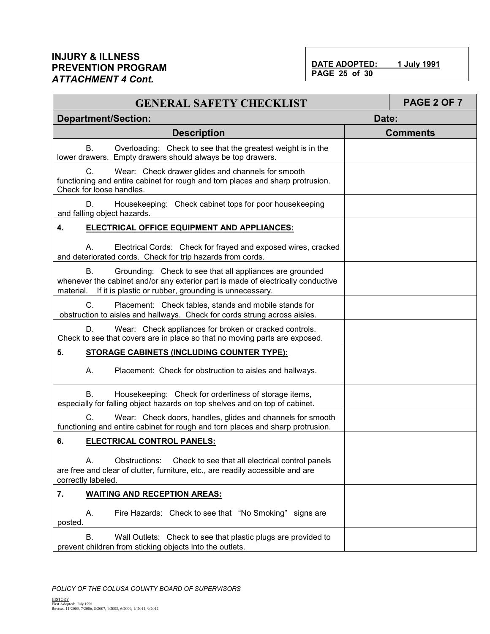DATE ADOPTED: 1 July 1991 **PAGE 25 of 30**

| <b>GENERAL SAFETY CHECKLIST</b>                                                                                                                                                                                          |       | <b>PAGE 2 OF 7</b> |
|--------------------------------------------------------------------------------------------------------------------------------------------------------------------------------------------------------------------------|-------|--------------------|
| <b>Department/Section:</b>                                                                                                                                                                                               | Date: |                    |
| <b>Description</b>                                                                                                                                                                                                       |       | <b>Comments</b>    |
| <b>B.</b><br>Overloading: Check to see that the greatest weight is in the<br>lower drawers. Empty drawers should always be top drawers.                                                                                  |       |                    |
| C.<br>Wear: Check drawer glides and channels for smooth<br>functioning and entire cabinet for rough and torn places and sharp protrusion.<br>Check for loose handles.                                                    |       |                    |
| Housekeeping: Check cabinet tops for poor housekeeping<br>D.<br>and falling object hazards.                                                                                                                              |       |                    |
| 4.<br>ELECTRICAL OFFICE EQUIPMENT AND APPLIANCES:                                                                                                                                                                        |       |                    |
| Electrical Cords: Check for frayed and exposed wires, cracked<br>А.<br>and deteriorated cords. Check for trip hazards from cords.                                                                                        |       |                    |
| В.<br>Grounding: Check to see that all appliances are grounded<br>whenever the cabinet and/or any exterior part is made of electrically conductive<br>If it is plastic or rubber, grounding is unnecessary.<br>material. |       |                    |
| C.<br>Placement: Check tables, stands and mobile stands for<br>obstruction to aisles and hallways. Check for cords strung across aisles.                                                                                 |       |                    |
| D.<br>Wear: Check appliances for broken or cracked controls.<br>Check to see that covers are in place so that no moving parts are exposed.                                                                               |       |                    |
| 5.<br><b>STORAGE CABINETS (INCLUDING COUNTER TYPE):</b>                                                                                                                                                                  |       |                    |
| А.<br>Placement: Check for obstruction to aisles and hallways.                                                                                                                                                           |       |                    |
| <b>B.</b><br>Housekeeping: Check for orderliness of storage items,<br>especially for falling object hazards on top shelves and on top of cabinet.                                                                        |       |                    |
| C.<br>Wear: Check doors, handles, glides and channels for smooth<br>functioning and entire cabinet for rough and torn places and sharp protrusion.                                                                       |       |                    |
| 6.<br><b>ELECTRICAL CONTROL PANELS:</b>                                                                                                                                                                                  |       |                    |
| А.<br>Obstructions:<br>Check to see that all electrical control panels<br>are free and clear of clutter, furniture, etc., are readily accessible and are<br>correctly labeled.                                           |       |                    |
| 7.<br><b>WAITING AND RECEPTION AREAS:</b>                                                                                                                                                                                |       |                    |
| Α.<br>Fire Hazards: Check to see that "No Smoking" signs are<br>posted.                                                                                                                                                  |       |                    |
| В.<br>Wall Outlets: Check to see that plastic plugs are provided to<br>prevent children from sticking objects into the outlets.                                                                                          |       |                    |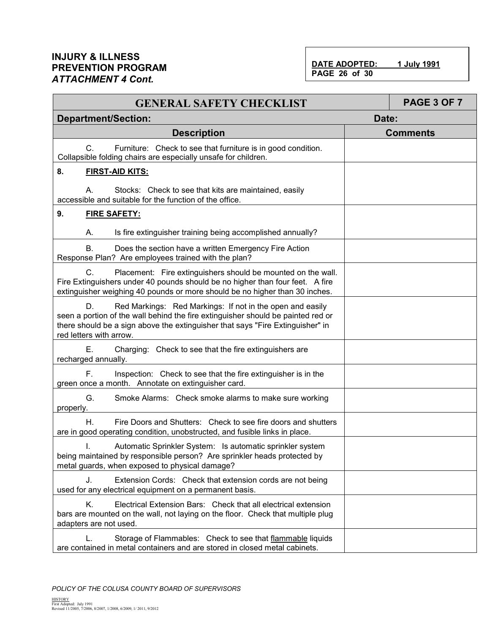DATE ADOPTED: 1 July 1991 **PAGE 26 of 30**

| <b>GENERAL SAFETY CHECKLIST</b>                                                                                                                                                                                                                                  | PAGE 3 OF 7     |
|------------------------------------------------------------------------------------------------------------------------------------------------------------------------------------------------------------------------------------------------------------------|-----------------|
| <b>Department/Section:</b>                                                                                                                                                                                                                                       | Date:           |
| <b>Description</b>                                                                                                                                                                                                                                               | <b>Comments</b> |
| $C_{\cdot}$<br>Furniture: Check to see that furniture is in good condition.<br>Collapsible folding chairs are especially unsafe for children.                                                                                                                    |                 |
| 8.<br><b>FIRST-AID KITS:</b>                                                                                                                                                                                                                                     |                 |
| А.<br>Stocks: Check to see that kits are maintained, easily<br>accessible and suitable for the function of the office.                                                                                                                                           |                 |
| 9.<br><b>FIRE SAFETY:</b>                                                                                                                                                                                                                                        |                 |
| Is fire extinguisher training being accomplished annually?<br>А.                                                                                                                                                                                                 |                 |
| В.<br>Does the section have a written Emergency Fire Action<br>Response Plan? Are employees trained with the plan?                                                                                                                                               |                 |
| C.<br>Placement: Fire extinguishers should be mounted on the wall.<br>Fire Extinguishers under 40 pounds should be no higher than four feet. A fire<br>extinguisher weighing 40 pounds or more should be no higher than 30 inches.                               |                 |
| Red Markings: Red Markings: If not in the open and easily<br>D.<br>seen a portion of the wall behind the fire extinguisher should be painted red or<br>there should be a sign above the extinguisher that says "Fire Extinguisher" in<br>red letters with arrow. |                 |
| Charging: Check to see that the fire extinguishers are<br>Е.<br>recharged annually.                                                                                                                                                                              |                 |
| F.<br>Inspection: Check to see that the fire extinguisher is in the<br>green once a month. Annotate on extinguisher card.                                                                                                                                        |                 |
| G.<br>Smoke Alarms: Check smoke alarms to make sure working<br>properly.                                                                                                                                                                                         |                 |
| Η.<br>Fire Doors and Shutters: Check to see fire doors and shutters<br>are in good operating condition, unobstructed, and fusible links in place.                                                                                                                |                 |
| Automatic Sprinkler System: Is automatic sprinkler system<br>$\mathbf{L}$<br>being maintained by responsible person? Are sprinkler heads protected by<br>metal guards, when exposed to physical damage?                                                          |                 |
| J.<br>Extension Cords: Check that extension cords are not being<br>used for any electrical equipment on a permanent basis.                                                                                                                                       |                 |
| Κ.<br>Electrical Extension Bars: Check that all electrical extension<br>bars are mounted on the wall, not laying on the floor. Check that multiple plug<br>adapters are not used.                                                                                |                 |
| L.<br>Storage of Flammables: Check to see that flammable liquids<br>are contained in metal containers and are stored in closed metal cabinets.                                                                                                                   |                 |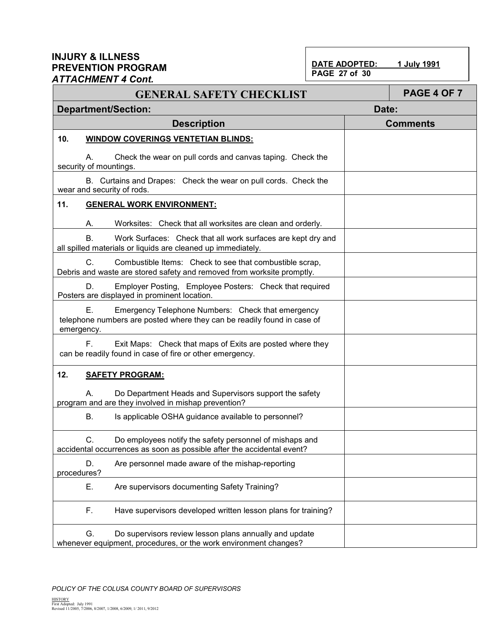# **PAGE 27 of 30**

**DATE ADOPTED: 1 July 1991** 

| טוייט די וושווייט<br><b>GENERAL SAFETY CHECKLIST</b>                                                                                             | PAGE 4 OF 7     |
|--------------------------------------------------------------------------------------------------------------------------------------------------|-----------------|
| <b>Department/Section:</b>                                                                                                                       | Date:           |
| <b>Description</b>                                                                                                                               | <b>Comments</b> |
| 10.<br><b>WINDOW COVERINGS VENTETIAN BLINDS:</b>                                                                                                 |                 |
| Check the wear on pull cords and canvas taping. Check the<br>А.<br>security of mountings.                                                        |                 |
| B. Curtains and Drapes: Check the wear on pull cords. Check the<br>wear and security of rods.                                                    |                 |
| 11.<br><b>GENERAL WORK ENVIRONMENT:</b>                                                                                                          |                 |
| Worksites: Check that all worksites are clean and orderly.<br>А.                                                                                 |                 |
| <b>B.</b><br>Work Surfaces: Check that all work surfaces are kept dry and<br>all spilled materials or liquids are cleaned up immediately.        |                 |
| C.<br>Combustible Items: Check to see that combustible scrap,<br>Debris and waste are stored safety and removed from worksite promptly.          |                 |
| D.<br>Employer Posting, Employee Posters: Check that required<br>Posters are displayed in prominent location.                                    |                 |
| Ε.<br>Emergency Telephone Numbers: Check that emergency<br>telephone numbers are posted where they can be readily found in case of<br>emergency. |                 |
| F.,<br>Exit Maps: Check that maps of Exits are posted where they<br>can be readily found in case of fire or other emergency.                     |                 |
| 12.<br><b>SAFETY PROGRAM:</b>                                                                                                                    |                 |
| Do Department Heads and Supervisors support the safety<br>А.<br>program and are they involved in mishap prevention?                              |                 |
| В.<br>Is applicable OSHA guidance available to personnel?                                                                                        |                 |
| Do employees notify the safety personnel of mishaps and<br>C<br>accidental occurrences as soon as possible after the accidental event?           |                 |
| D.<br>Are personnel made aware of the mishap-reporting<br>procedures?                                                                            |                 |
| Ε.<br>Are supervisors documenting Safety Training?                                                                                               |                 |
| F.<br>Have supervisors developed written lesson plans for training?                                                                              |                 |
| G.<br>Do supervisors review lesson plans annually and update<br>whenever equipment, procedures, or the work environment changes?                 |                 |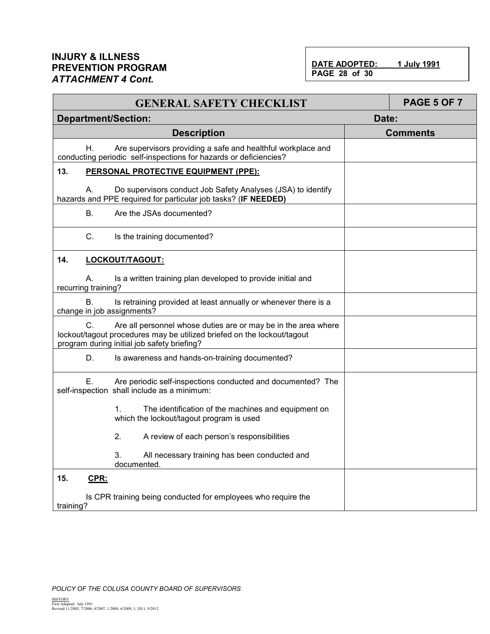DATE ADOPTED: 1 July 1991 **PAGE 28 of 30**

| <b>GENERAL SAFETY CHECKLIST</b>                                                                                                                                                                |       | <b>PAGE 5 OF 7</b> |  |
|------------------------------------------------------------------------------------------------------------------------------------------------------------------------------------------------|-------|--------------------|--|
| <b>Department/Section:</b>                                                                                                                                                                     | Date: |                    |  |
| <b>Description</b>                                                                                                                                                                             |       | <b>Comments</b>    |  |
| Are supervisors providing a safe and healthful workplace and<br>Η.<br>conducting periodic self-inspections for hazards or deficiencies?                                                        |       |                    |  |
| 13.<br>PERSONAL PROTECTIVE EQUIPMENT (PPE):                                                                                                                                                    |       |                    |  |
| Do supervisors conduct Job Safety Analyses (JSA) to identify<br>A.<br>hazards and PPE required for particular job tasks? (IF NEEDED)                                                           |       |                    |  |
| Are the JSAs documented?<br>В.                                                                                                                                                                 |       |                    |  |
| C.<br>Is the training documented?                                                                                                                                                              |       |                    |  |
| 14.<br>LOCKOUT/TAGOUT:                                                                                                                                                                         |       |                    |  |
| Is a written training plan developed to provide initial and<br>А.<br>recurring training?                                                                                                       |       |                    |  |
| Is retraining provided at least annually or whenever there is a<br>В.<br>change in job assignments?                                                                                            |       |                    |  |
| C.<br>Are all personnel whose duties are or may be in the area where<br>lockout/tagout procedures may be utilized briefed on the lockout/tagout<br>program during initial job safety briefing? |       |                    |  |
| D.<br>Is awareness and hands-on-training documented?                                                                                                                                           |       |                    |  |
| Е.<br>Are periodic self-inspections conducted and documented? The<br>self-inspection shall include as a minimum:                                                                               |       |                    |  |
| 1.<br>The identification of the machines and equipment on<br>which the lockout/tagout program is used                                                                                          |       |                    |  |
| 2.<br>A review of each person's responsibilities                                                                                                                                               |       |                    |  |
| 3.<br>All necessary training has been conducted and<br>documented.                                                                                                                             |       |                    |  |
| 15.<br>CPR:                                                                                                                                                                                    |       |                    |  |
| Is CPR training being conducted for employees who require the<br>training?                                                                                                                     |       |                    |  |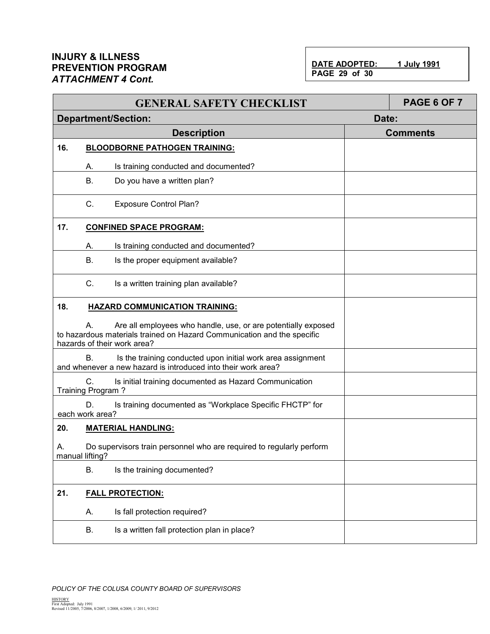DATE ADOPTED: 1 July 1991 **PAGE 29 of 30**

|                                                                                                                                                                               |                         | <b>GENERAL SAFETY CHECKLIST</b>                                                                                              |                 | PAGE 6 OF 7 |  |
|-------------------------------------------------------------------------------------------------------------------------------------------------------------------------------|-------------------------|------------------------------------------------------------------------------------------------------------------------------|-----------------|-------------|--|
|                                                                                                                                                                               |                         | <b>Department/Section:</b>                                                                                                   | Date:           |             |  |
|                                                                                                                                                                               |                         | <b>Description</b>                                                                                                           | <b>Comments</b> |             |  |
| 16.                                                                                                                                                                           |                         | <b>BLOODBORNE PATHOGEN TRAINING:</b>                                                                                         |                 |             |  |
|                                                                                                                                                                               | А.                      | Is training conducted and documented?                                                                                        |                 |             |  |
|                                                                                                                                                                               | <b>B.</b>               | Do you have a written plan?                                                                                                  |                 |             |  |
|                                                                                                                                                                               | C.                      | <b>Exposure Control Plan?</b>                                                                                                |                 |             |  |
| 17.                                                                                                                                                                           |                         | <b>CONFINED SPACE PROGRAM:</b>                                                                                               |                 |             |  |
|                                                                                                                                                                               | А.                      | Is training conducted and documented?                                                                                        |                 |             |  |
|                                                                                                                                                                               | <b>B.</b>               | Is the proper equipment available?                                                                                           |                 |             |  |
|                                                                                                                                                                               | C.                      | Is a written training plan available?                                                                                        |                 |             |  |
| 18.                                                                                                                                                                           |                         | <b>HAZARD COMMUNICATION TRAINING:</b>                                                                                        |                 |             |  |
| Are all employees who handle, use, or are potentially exposed<br>А.<br>to hazardous materials trained on Hazard Communication and the specific<br>hazards of their work area? |                         |                                                                                                                              |                 |             |  |
|                                                                                                                                                                               | <b>B.</b>               | Is the training conducted upon initial work area assignment<br>and whenever a new hazard is introduced into their work area? |                 |             |  |
|                                                                                                                                                                               | C.<br>Training Program? | Is initial training documented as Hazard Communication                                                                       |                 |             |  |
|                                                                                                                                                                               | D.<br>each work area?   | Is training documented as "Workplace Specific FHCTP" for                                                                     |                 |             |  |
| 20.                                                                                                                                                                           |                         | <b>MATERIAL HANDLING:</b>                                                                                                    |                 |             |  |
| А.                                                                                                                                                                            | manual lifting?         | Do supervisors train personnel who are required to regularly perform                                                         |                 |             |  |
|                                                                                                                                                                               | <b>B.</b>               | Is the training documented?                                                                                                  |                 |             |  |
| 21.                                                                                                                                                                           | <b>FALL PROTECTION:</b> |                                                                                                                              |                 |             |  |
|                                                                                                                                                                               | А.                      | Is fall protection required?                                                                                                 |                 |             |  |
|                                                                                                                                                                               | В.                      | Is a written fall protection plan in place?                                                                                  |                 |             |  |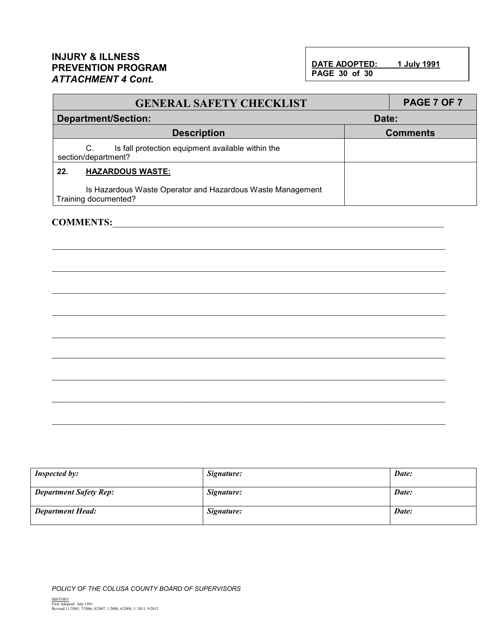DATE ADOPTED: 1 July 1991 **PAGE 30 of 30**

| <b>GENERAL SAFETY CHECKLIST</b>                                                    | PAGE 7 OF 7     |  |  |
|------------------------------------------------------------------------------------|-----------------|--|--|
| <b>Department/Section:</b><br>Date:                                                |                 |  |  |
| <b>Description</b>                                                                 | <b>Comments</b> |  |  |
| Is fall protection equipment available within the<br>C.<br>section/department?     |                 |  |  |
| <b>HAZARDOUS WASTE:</b><br>22.                                                     |                 |  |  |
| Is Hazardous Waste Operator and Hazardous Waste Management<br>Training documented? |                 |  |  |

\_\_\_\_\_\_\_\_\_\_\_\_\_\_\_\_\_\_\_\_\_\_\_\_\_\_\_\_\_\_\_\_\_\_\_\_\_\_\_\_\_\_\_\_\_\_\_\_\_\_\_\_\_\_\_\_\_\_\_\_\_\_\_\_\_\_\_\_\_\_\_\_\_\_\_\_\_\_\_\_\_\_

\_\_\_\_\_\_\_\_\_\_\_\_\_\_\_\_\_\_\_\_\_\_\_\_\_\_\_\_\_\_\_\_\_\_\_\_\_\_\_\_\_\_\_\_\_\_\_\_\_\_\_\_\_\_\_\_\_\_\_\_\_\_\_\_\_\_\_\_\_\_\_\_\_\_\_\_\_\_\_\_\_\_

\_\_\_\_\_\_\_\_\_\_\_\_\_\_\_\_\_\_\_\_\_\_\_\_\_\_\_\_\_\_\_\_\_\_\_\_\_\_\_\_\_\_\_\_\_\_\_\_\_\_\_\_\_\_\_\_\_\_\_\_\_\_\_\_\_\_\_\_\_\_\_\_\_\_\_\_\_\_\_\_\_\_

\_\_\_\_\_\_\_\_\_\_\_\_\_\_\_\_\_\_\_\_\_\_\_\_\_\_\_\_\_\_\_\_\_\_\_\_\_\_\_\_\_\_\_\_\_\_\_\_\_\_\_\_\_\_\_\_\_\_\_\_\_\_\_\_\_\_\_\_\_\_\_\_\_\_\_\_\_\_\_\_\_\_

\_\_\_\_\_\_\_\_\_\_\_\_\_\_\_\_\_\_\_\_\_\_\_\_\_\_\_\_\_\_\_\_\_\_\_\_\_\_\_\_\_\_\_\_\_\_\_\_\_\_\_\_\_\_\_\_\_\_\_\_\_\_\_\_\_\_\_\_\_\_\_\_\_\_\_\_\_\_\_\_\_\_

\_\_\_\_\_\_\_\_\_\_\_\_\_\_\_\_\_\_\_\_\_\_\_\_\_\_\_\_\_\_\_\_\_\_\_\_\_\_\_\_\_\_\_\_\_\_\_\_\_\_\_\_\_\_\_\_\_\_\_\_\_\_\_\_\_\_\_\_\_\_\_\_\_\_\_\_\_\_\_\_\_\_

#### COMMENTS:

| <b>Inspected by:</b>          | Signature: | Date: |
|-------------------------------|------------|-------|
| <b>Department Safety Rep:</b> | Signature: | Date: |
| <b>Department Head:</b>       | Signature: | Date: |